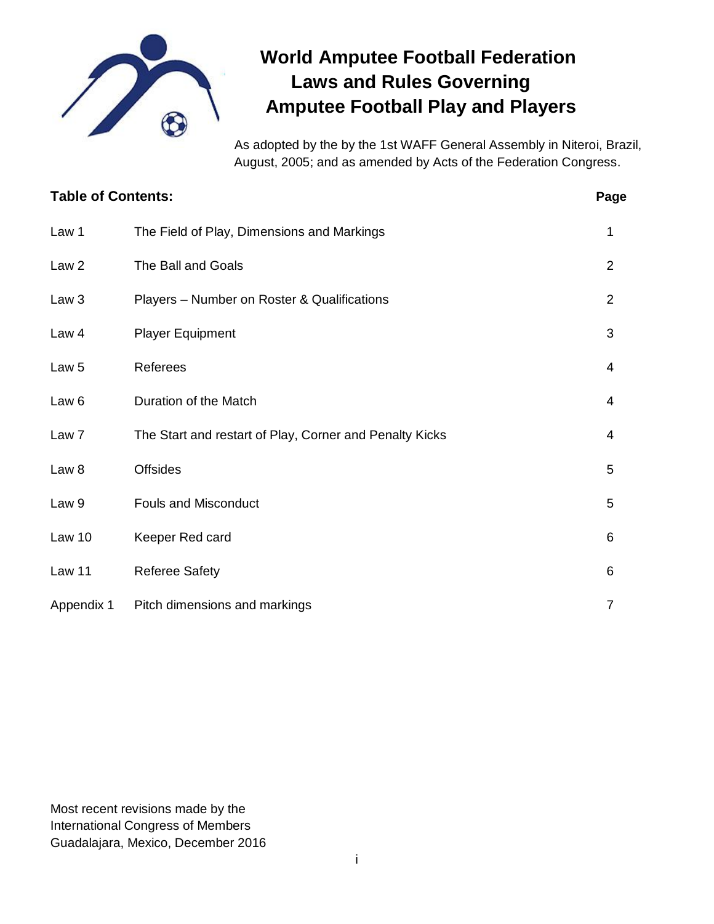

# **World Amputee Football Federation Laws and Rules Governing Amputee Football Play and Players**

As adopted by the by the 1st WAFF General Assembly in Niteroi, Brazil, August, 2005; and as amended by Acts of the Federation Congress.

| <b>Table of Contents:</b> |                                                         | Page           |
|---------------------------|---------------------------------------------------------|----------------|
| Law 1                     | The Field of Play, Dimensions and Markings              | 1              |
| Law <sub>2</sub>          | The Ball and Goals                                      | $\overline{2}$ |
| Law <sub>3</sub>          | Players - Number on Roster & Qualifications             | $\overline{2}$ |
| Law 4                     | <b>Player Equipment</b>                                 | 3              |
| Law <sub>5</sub>          | Referees                                                | 4              |
| Law <sub>6</sub>          | Duration of the Match                                   | 4              |
| Law <sub>7</sub>          | The Start and restart of Play, Corner and Penalty Kicks | 4              |
| Law <sub>8</sub>          | <b>Offsides</b>                                         | 5              |
| Law 9                     | <b>Fouls and Misconduct</b>                             | 5              |
| Law 10                    | Keeper Red card                                         | 6              |
| Law 11                    | <b>Referee Safety</b>                                   | 6              |
| Appendix 1                | Pitch dimensions and markings                           | $\overline{7}$ |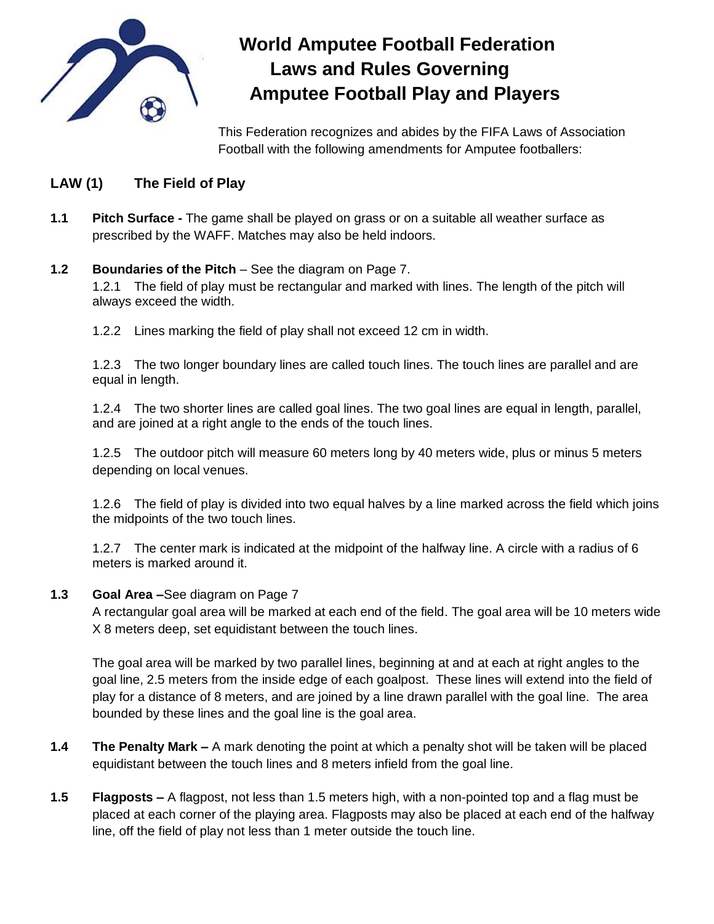

# **World Amputee Football Federation Laws and Rules Governing Amputee Football Play and Players**

This Federation recognizes and abides by the FIFA Laws of Association Football with the following amendments for Amputee footballers:

# **LAW (1) The Field of Play**

**1.1 Pitch Surface -** The game shall be played on grass or on a suitable all weather surface as prescribed by the WAFF. Matches may also be held indoors.

## **1.2 Boundaries of the Pitch** – See the diagram on Page 7.

1.2.1 The field of play must be rectangular and marked with lines. The length of the pitch will always exceed the width.

1.2.2 Lines marking the field of play shall not exceed 12 cm in width.

1.2.3 The two longer boundary lines are called touch lines. The touch lines are parallel and are equal in length.

1.2.4 The two shorter lines are called goal lines. The two goal lines are equal in length, parallel, and are joined at a right angle to the ends of the touch lines.

1.2.5 The outdoor pitch will measure 60 meters long by 40 meters wide, plus or minus 5 meters depending on local venues.

1.2.6 The field of play is divided into two equal halves by a line marked across the field which joins the midpoints of the two touch lines.

1.2.7 The center mark is indicated at the midpoint of the halfway line. A circle with a radius of 6 meters is marked around it.

#### **1.3 Goal Area –**See diagram on Page 7

A rectangular goal area will be marked at each end of the field. The goal area will be 10 meters wide X 8 meters deep, set equidistant between the touch lines.

The goal area will be marked by two parallel lines, beginning at and at each at right angles to the goal line, 2.5 meters from the inside edge of each goalpost. These lines will extend into the field of play for a distance of 8 meters, and are joined by a line drawn parallel with the goal line. The area bounded by these lines and the goal line is the goal area.

- **1.4 The Penalty Mark –** A mark denoting the point at which a penalty shot will be taken will be placed equidistant between the touch lines and 8 meters infield from the goal line.
- **1.5 Flagposts –** A flagpost, not less than 1.5 meters high, with a non-pointed top and a flag must be placed at each corner of the playing area. Flagposts may also be placed at each end of the halfway line, off the field of play not less than 1 meter outside the touch line.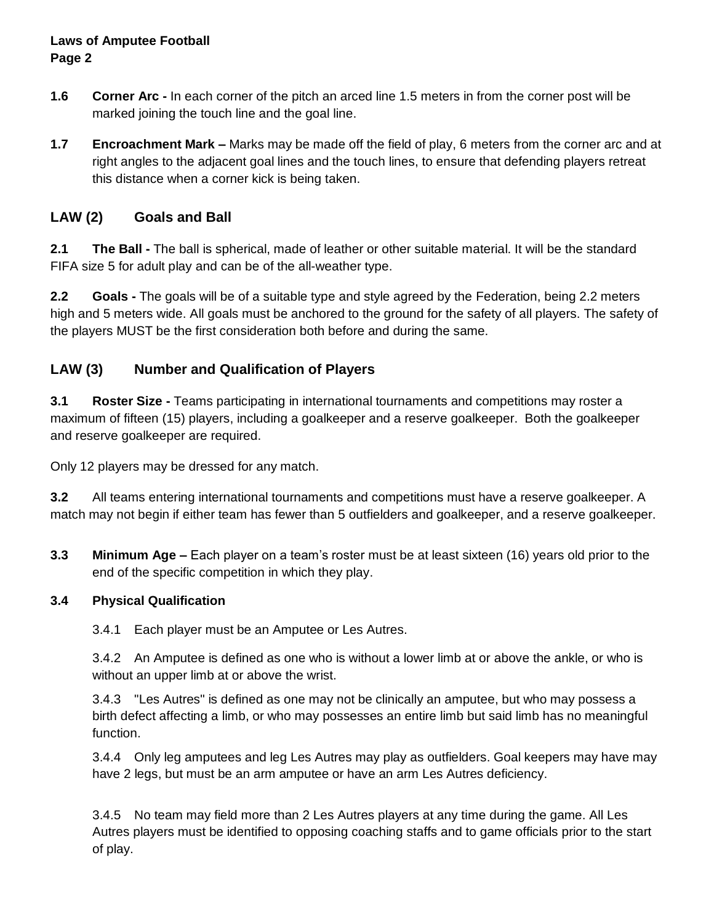#### **Laws of Amputee Football Page 2**

- **1.6 Corner Arc -** In each corner of the pitch an arced line 1.5 meters in from the corner post will be marked joining the touch line and the goal line.
- **1.7 Encroachment Mark –** Marks may be made off the field of play, 6 meters from the corner arc and at right angles to the adjacent goal lines and the touch lines, to ensure that defending players retreat this distance when a corner kick is being taken.

# **LAW (2) Goals and Ball**

**2.1 The Ball -** The ball is spherical, made of leather or other suitable material. It will be the standard FIFA size 5 for adult play and can be of the all-weather type.

**2.2 Goals -** The goals will be of a suitable type and style agreed by the Federation, being 2.2 meters high and 5 meters wide. All goals must be anchored to the ground for the safety of all players. The safety of the players MUST be the first consideration both before and during the same.

## **LAW (3) Number and Qualification of Players**

**3.1 Roster Size -** Teams participating in international tournaments and competitions may roster a maximum of fifteen (15) players, including a goalkeeper and a reserve goalkeeper. Both the goalkeeper and reserve goalkeeper are required.

Only 12 players may be dressed for any match.

**3.2** All teams entering international tournaments and competitions must have a reserve goalkeeper. A match may not begin if either team has fewer than 5 outfielders and goalkeeper, and a reserve goalkeeper.

**3.3 Minimum Age –** Each player on a team's roster must be at least sixteen (16) years old prior to the end of the specific competition in which they play.

#### **3.4 Physical Qualification**

3.4.1 Each player must be an Amputee or Les Autres.

3.4.2 An Amputee is defined as one who is without a lower limb at or above the ankle, or who is without an upper limb at or above the wrist.

3.4.3 "Les Autres" is defined as one may not be clinically an amputee, but who may possess a birth defect affecting a limb, or who may possesses an entire limb but said limb has no meaningful function.

3.4.4 Only leg amputees and leg Les Autres may play as outfielders. Goal keepers may have may have 2 legs, but must be an arm amputee or have an arm Les Autres deficiency.

3.4.5 No team may field more than 2 Les Autres players at any time during the game. All Les Autres players must be identified to opposing coaching staffs and to game officials prior to the start of play.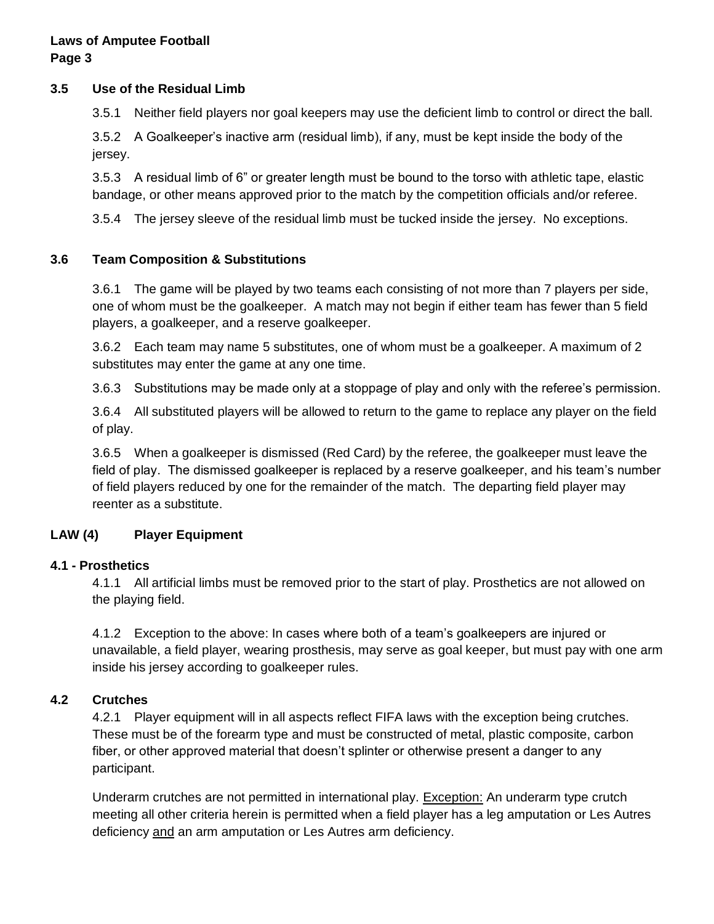#### **3.5 Use of the Residual Limb**

3.5.1 Neither field players nor goal keepers may use the deficient limb to control or direct the ball.

3.5.2 A Goalkeeper's inactive arm (residual limb), if any, must be kept inside the body of the jersey.

3.5.3 A residual limb of 6" or greater length must be bound to the torso with athletic tape, elastic bandage, or other means approved prior to the match by the competition officials and/or referee.

3.5.4 The jersey sleeve of the residual limb must be tucked inside the jersey. No exceptions.

#### **3.6 Team Composition & Substitutions**

3.6.1 The game will be played by two teams each consisting of not more than 7 players per side, one of whom must be the goalkeeper. A match may not begin if either team has fewer than 5 field players, a goalkeeper, and a reserve goalkeeper.

3.6.2 Each team may name 5 substitutes, one of whom must be a goalkeeper. A maximum of 2 substitutes may enter the game at any one time.

3.6.3 Substitutions may be made only at a stoppage of play and only with the referee's permission.

3.6.4 All substituted players will be allowed to return to the game to replace any player on the field of play.

3.6.5 When a goalkeeper is dismissed (Red Card) by the referee, the goalkeeper must leave the field of play. The dismissed goalkeeper is replaced by a reserve goalkeeper, and his team's number of field players reduced by one for the remainder of the match. The departing field player may reenter as a substitute.

## **LAW (4) Player Equipment**

## **4.1 - Prosthetics**

4.1.1 All artificial limbs must be removed prior to the start of play. Prosthetics are not allowed on the playing field.

4.1.2 Exception to the above: In cases where both of a team's goalkeepers are injured or unavailable, a field player, wearing prosthesis, may serve as goal keeper, but must pay with one arm inside his jersey according to goalkeeper rules.

## **4.2 Crutches**

4.2.1 Player equipment will in all aspects reflect FIFA laws with the exception being crutches. These must be of the forearm type and must be constructed of metal, plastic composite, carbon fiber, or other approved material that doesn't splinter or otherwise present a danger to any participant.

Underarm crutches are not permitted in international play. Exception: An underarm type crutch meeting all other criteria herein is permitted when a field player has a leg amputation or Les Autres deficiency and an arm amputation or Les Autres arm deficiency.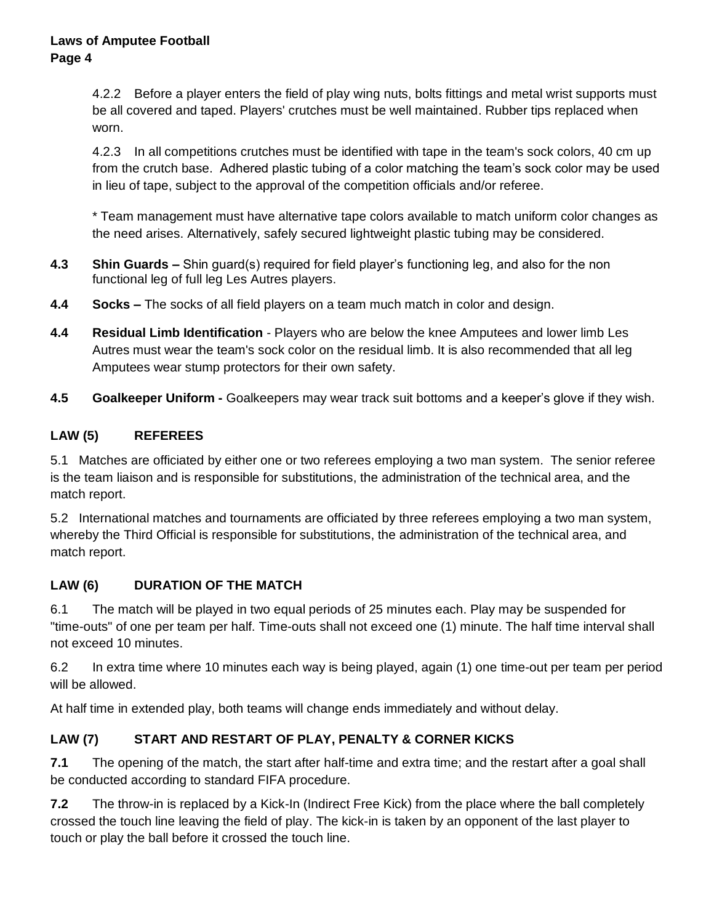4.2.2 Before a player enters the field of play wing nuts, bolts fittings and metal wrist supports must be all covered and taped. Players' crutches must be well maintained. Rubber tips replaced when worn.

4.2.3 In all competitions crutches must be identified with tape in the team's sock colors, 40 cm up from the crutch base. Adhered plastic tubing of a color matching the team's sock color may be used in lieu of tape, subject to the approval of the competition officials and/or referee.

\* Team management must have alternative tape colors available to match uniform color changes as the need arises. Alternatively, safely secured lightweight plastic tubing may be considered.

- **4.3 Shin Guards –** Shin guard(s) required for field player's functioning leg, and also for the non functional leg of full leg Les Autres players.
- **4.4 Socks –** The socks of all field players on a team much match in color and design.
- **4.4 Residual Limb Identification**  Players who are below the knee Amputees and lower limb Les Autres must wear the team's sock color on the residual limb. It is also recommended that all leg Amputees wear stump protectors for their own safety.
- **4.5 Goalkeeper Uniform -** Goalkeepers may wear track suit bottoms and a keeper's glove if they wish.

# **LAW (5) REFEREES**

5.1 Matches are officiated by either one or two referees employing a two man system. The senior referee is the team liaison and is responsible for substitutions, the administration of the technical area, and the match report.

5.2 International matches and tournaments are officiated by three referees employing a two man system, whereby the Third Official is responsible for substitutions, the administration of the technical area, and match report.

## **LAW (6) DURATION OF THE MATCH**

6.1 The match will be played in two equal periods of 25 minutes each. Play may be suspended for "time-outs" of one per team per half. Time-outs shall not exceed one (1) minute. The half time interval shall not exceed 10 minutes.

6.2 In extra time where 10 minutes each way is being played, again (1) one time-out per team per period will be allowed.

At half time in extended play, both teams will change ends immediately and without delay.

# **LAW (7) START AND RESTART OF PLAY, PENALTY & CORNER KICKS**

**7.1** The opening of the match, the start after half-time and extra time; and the restart after a goal shall be conducted according to standard FIFA procedure.

**7.2** The throw-in is replaced by a Kick-In (Indirect Free Kick) from the place where the ball completely crossed the touch line leaving the field of play. The kick-in is taken by an opponent of the last player to touch or play the ball before it crossed the touch line.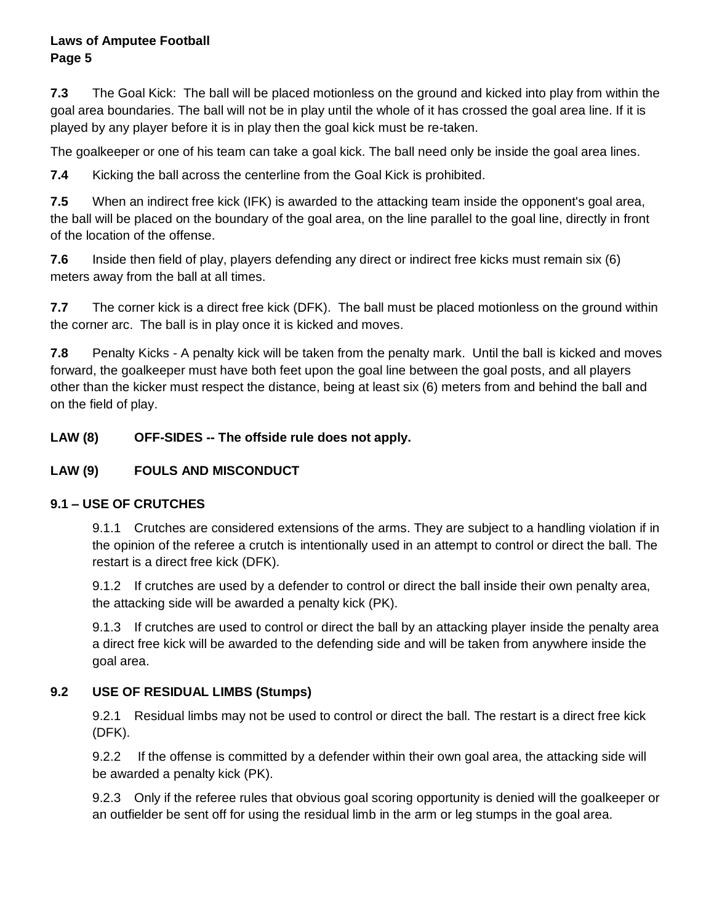#### **Laws of Amputee Football Page 5**

**7.3** The Goal Kick: The ball will be placed motionless on the ground and kicked into play from within the goal area boundaries. The ball will not be in play until the whole of it has crossed the goal area line. If it is played by any player before it is in play then the goal kick must be re-taken.

The goalkeeper or one of his team can take a goal kick. The ball need only be inside the goal area lines.

**7.4** Kicking the ball across the centerline from the Goal Kick is prohibited.

**7.5** When an indirect free kick (IFK) is awarded to the attacking team inside the opponent's goal area, the ball will be placed on the boundary of the goal area, on the line parallel to the goal line, directly in front of the location of the offense.

**7.6** Inside then field of play, players defending any direct or indirect free kicks must remain six (6) meters away from the ball at all times.

**7.7** The corner kick is a direct free kick (DFK). The ball must be placed motionless on the ground within the corner arc. The ball is in play once it is kicked and moves.

**7.8** Penalty Kicks - A penalty kick will be taken from the penalty mark. Until the ball is kicked and moves forward, the goalkeeper must have both feet upon the goal line between the goal posts, and all players other than the kicker must respect the distance, being at least six (6) meters from and behind the ball and on the field of play.

**LAW (8) OFF-SIDES -- The offside rule does not apply.**

## **LAW (9) FOULS AND MISCONDUCT**

## **9.1 – USE OF CRUTCHES**

9.1.1 Crutches are considered extensions of the arms. They are subject to a handling violation if in the opinion of the referee a crutch is intentionally used in an attempt to control or direct the ball. The restart is a direct free kick (DFK).

9.1.2 If crutches are used by a defender to control or direct the ball inside their own penalty area, the attacking side will be awarded a penalty kick (PK).

9.1.3 If crutches are used to control or direct the ball by an attacking player inside the penalty area a direct free kick will be awarded to the defending side and will be taken from anywhere inside the goal area.

## **9.2 USE OF RESIDUAL LIMBS (Stumps)**

9.2.1 Residual limbs may not be used to control or direct the ball. The restart is a direct free kick (DFK).

9.2.2 If the offense is committed by a defender within their own goal area, the attacking side will be awarded a penalty kick (PK).

9.2.3 Only if the referee rules that obvious goal scoring opportunity is denied will the goalkeeper or an outfielder be sent off for using the residual limb in the arm or leg stumps in the goal area.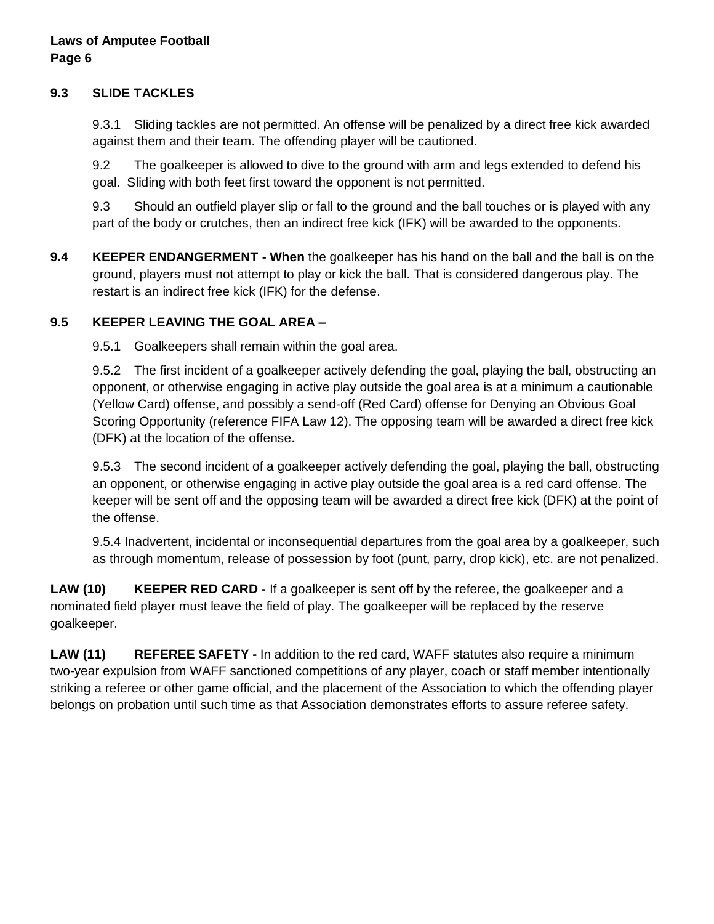#### **9.3 SLIDE TACKLES**

9.3.1 Sliding tackles are not permitted. An offense will be penalized by a direct free kick awarded against them and their team. The offending player will be cautioned.

9.2 The goalkeeper is allowed to dive to the ground with arm and legs extended to defend his goal. Sliding with both feet first toward the opponent is not permitted.

9.3 Should an outfield player slip or fall to the ground and the ball touches or is played with any part of the body or crutches, then an indirect free kick (IFK) will be awarded to the opponents.

**9.4 KEEPER ENDANGERMENT - When** the goalkeeper has his hand on the ball and the ball is on the ground, players must not attempt to play or kick the ball. That is considered dangerous play. The restart is an indirect free kick (IFK) for the defense.

## **9.5 KEEPER LEAVING THE GOAL AREA –**

9.5.1 Goalkeepers shall remain within the goal area.

9.5.2 The first incident of a goalkeeper actively defending the goal, playing the ball, obstructing an opponent, or otherwise engaging in active play outside the goal area is at a minimum a cautionable (Yellow Card) offense, and possibly a send-off (Red Card) offense for Denying an Obvious Goal Scoring Opportunity (reference FIFA Law 12). The opposing team will be awarded a direct free kick (DFK) at the location of the offense.

9.5.3 The second incident of a goalkeeper actively defending the goal, playing the ball, obstructing an opponent, or otherwise engaging in active play outside the goal area is a red card offense. The keeper will be sent off and the opposing team will be awarded a direct free kick (DFK) at the point of the offense.

9.5.4 Inadvertent, incidental or inconsequential departures from the goal area by a goalkeeper, such as through momentum, release of possession by foot (punt, parry, drop kick), etc. are not penalized.

**LAW (10) KEEPER RED CARD -** If a goalkeeper is sent off by the referee, the goalkeeper and a nominated field player must leave the field of play. The goalkeeper will be replaced by the reserve goalkeeper.

**LAW (11) REFEREE SAFETY -** In addition to the red card, WAFF statutes also require a minimum two-year expulsion from WAFF sanctioned competitions of any player, coach or staff member intentionally striking a referee or other game official, and the placement of the Association to which the offending player belongs on probation until such time as that Association demonstrates efforts to assure referee safety.